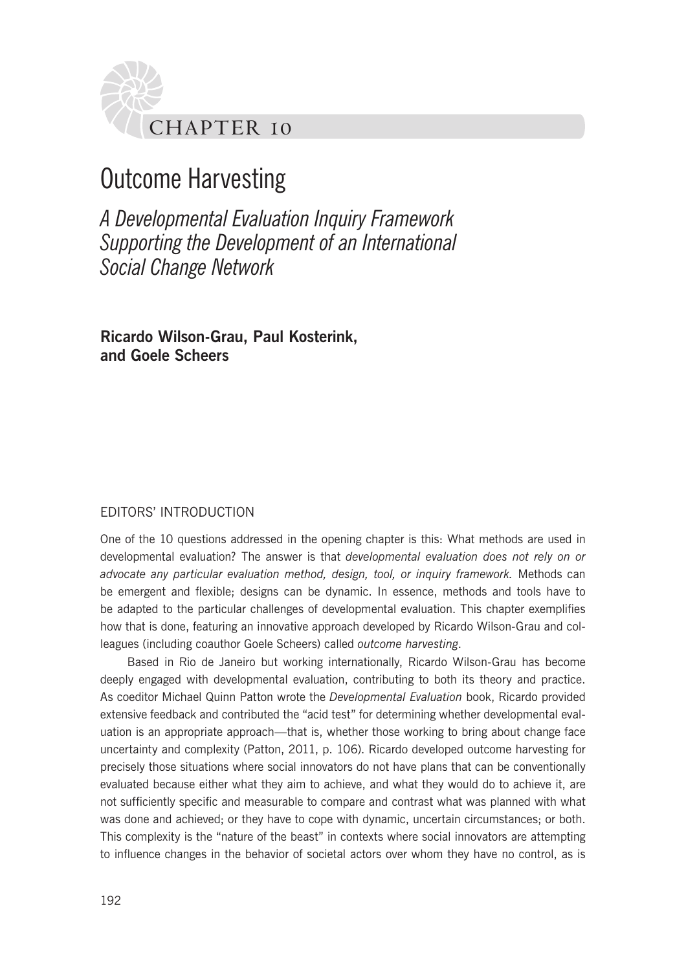

# Outcome Harvesting

*A Developmental Evaluation Inquiry Framework Supporting the Development of an International Social Change Network*

**Ricardo Wilson-Grau, Paul Kosterink, and Goele Scheers**

### EDITORS' INTRODUCTION

One of the 10 questions addressed in the opening chapter is this: What methods are used in developmental evaluation? The answer is that *developmental evaluation does not rely on or advocate any particular evaluation method, design, tool, or inquiry framework.* Methods can be emergent and flexible; designs can be dynamic. In essence, methods and tools have to be adapted to the particular challenges of developmental evaluation. This chapter exemplifies how that is done, featuring an innovative approach developed by Ricardo Wilson-Grau and colleagues (including coauthor Goele Scheers) called *outcome harvesting*.

Based in Rio de Janeiro but working internationally, Ricardo Wilson-Grau has become deeply engaged with developmental evaluation, contributing to both its theory and practice. As coeditor Michael Quinn Patton wrote the *Developmental Evaluation* book, Ricardo provided extensive feedback and contributed the "acid test" for determining whether developmental evaluation is an appropriate approach— that is, whether those working to bring about change face uncertainty and complexity (Patton, 2011, p. 106). Ricardo developed outcome harvesting for precisely those situations where social innovators do not have plans that can be conventionally evaluated because either what they aim to achieve, and what they would do to achieve it, are not sufficiently specific and measurable to compare and contrast what was planned with what was done and achieved; or they have to cope with dynamic, uncertain circumstances; or both. This complexity is the "nature of the beast" in contexts where social innovators are attempting to influence changes in the behavior of societal actors over whom they have no control, as is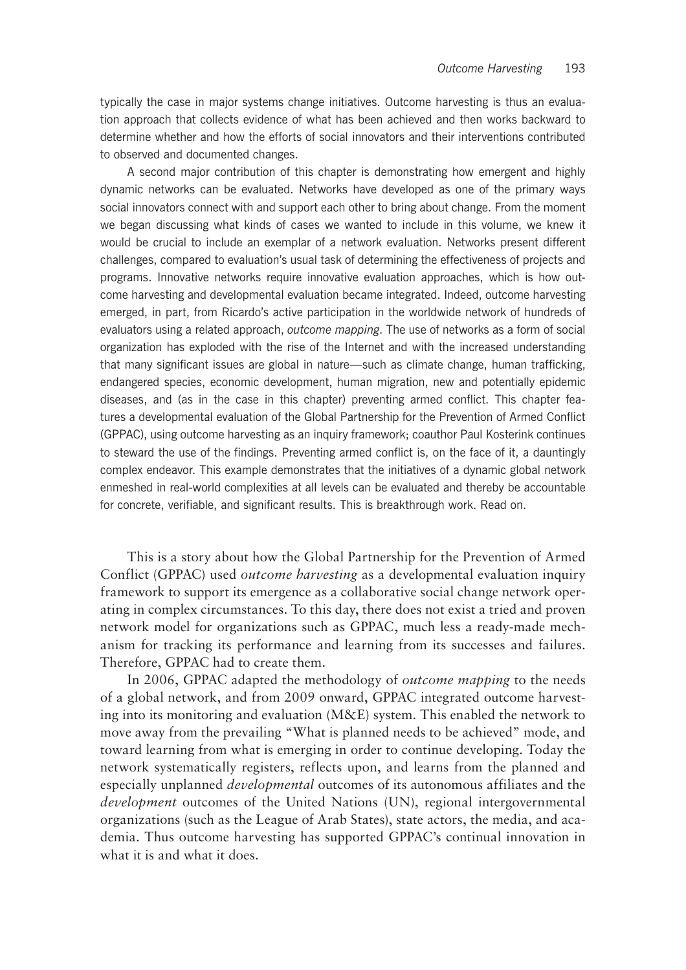typically the case in major systems change initiatives. Outcome harvesting is thus an evaluation approach that collects evidence of what has been achieved and then works backward to determine whether and how the efforts of social innovators and their interventions contributed to observed and documented changes.

A second major contribution of this chapter is demonstrating how emergent and highly dynamic networks can be evaluated. Networks have developed as one of the primary ways social innovators connect with and support each other to bring about change. From the moment we began discussing what kinds of cases we wanted to include in this volume, we knew it would be crucial to include an exemplar of a network evaluation. Networks present different challenges, compared to evaluation's usual task of determining the effectiveness of projects and programs. Innovative networks require innovative evaluation approaches, which is how outcome harvesting and developmental evaluation became integrated. Indeed, outcome harvesting emerged, in part, from Ricardo's active participation in the worldwide network of hundreds of evaluators using a related approach, *outcome mapping*. The use of networks as a form of social organization has exploded with the rise of the Internet and with the increased understanding that many significant issues are global in nature— such as climate change, human trafficking, endangered species, economic development, human migration, new and potentially epidemic diseases, and (as in the case in this chapter) preventing armed conflict. This chapter features a developmental evaluation of the Global Partnership for the Prevention of Armed Conflict (GPPAC), using outcome harvesting as an inquiry framework; coauthor Paul Kosterink continues to steward the use of the findings. Preventing armed conflict is, on the face of it, a dauntingly complex endeavor. This example demonstrates that the initiatives of a dynamic global network enmeshed in real-world complexities at all levels can be evaluated and thereby be accountable for concrete, verifiable, and significant results. This is breakthrough work. Read on.

This is a story about how the Global Partnership for the Prevention of Armed Conflict (GPPAC) used *outcome harvesting* as a developmental evaluation inquiry framework to support its emergence as a collaborative social change network operating in complex circumstances. To this day, there does not exist a tried and proven network model for organizations such as GPPAC, much less a ready-made mechanism for tracking its performance and learning from its successes and failures. Therefore, GPPAC had to create them.

In 2006, GPPAC adapted the methodology of *outcome mapping* to the needs of a global network, and from 2009 onward, GPPAC integrated outcome harvesting into its monitoring and evaluation (M&E) system. This enabled the network to move away from the prevailing "What is planned needs to be achieved" mode, and toward learning from what is emerging in order to continue developing. Today the network systematically registers, reflects upon, and learns from the planned and especially unplanned *developmental* outcomes of its autonomous affiliates and the *development* outcomes of the United Nations (UN), regional intergovernmental organizations (such as the League of Arab States), state actors, the media, and academia. Thus outcome harvesting has supported GPPAC's continual innovation in what it is and what it does.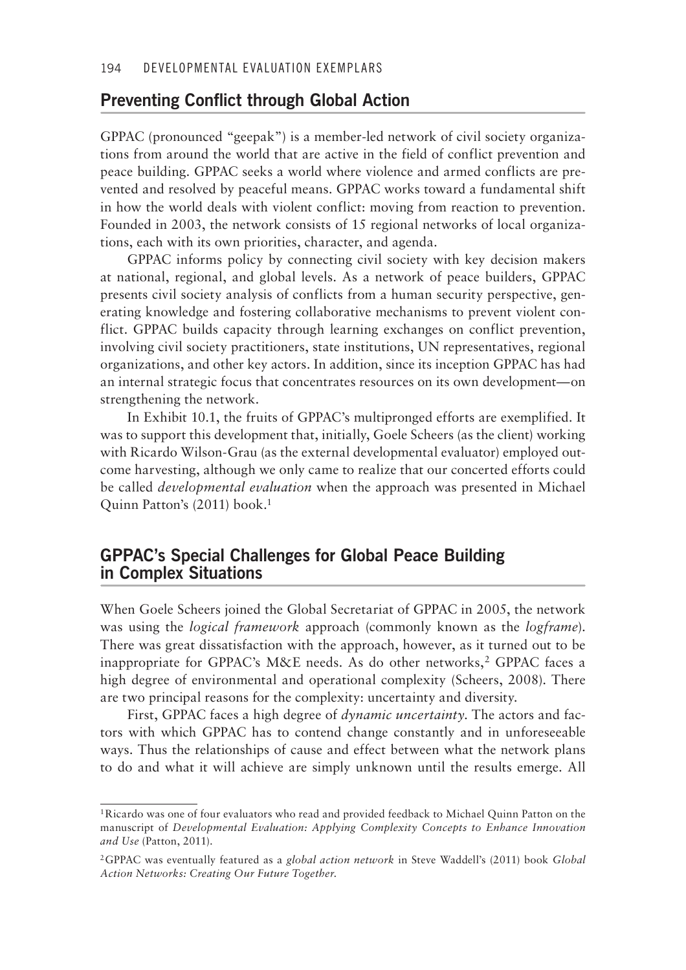### **Preventing Conflict through Global Action**

GPPAC (pronounced "geepak") is a member-led network of civil society organizations from around the world that are active in the field of conflict prevention and peace building. GPPAC seeks a world where violence and armed conflicts are prevented and resolved by peaceful means. GPPAC works toward a fundamental shift in how the world deals with violent conflict: moving from reaction to prevention. Founded in 2003, the network consists of 15 regional networks of local organizations, each with its own priorities, character, and agenda.

GPPAC informs policy by connecting civil society with key decision makers at national, regional, and global levels. As a network of peace builders, GPPAC presents civil society analysis of conflicts from a human security perspective, generating knowledge and fostering collaborative mechanisms to prevent violent conflict. GPPAC builds capacity through learning exchanges on conflict prevention, involving civil society practitioners, state institutions, UN representatives, regional organizations, and other key actors. In addition, since its inception GPPAC has had an internal strategic focus that concentrates resources on its own development— on strengthening the network.

In Exhibit 10.1, the fruits of GPPAC's multipronged efforts are exemplified. It was to support this development that, initially, Goele Scheers (as the client) working with Ricardo Wilson-Grau (as the external developmental evaluator) employed outcome harvesting, although we only came to realize that our concerted efforts could be called *developmental evaluation* when the approach was presented in Michael Quinn Patton's (2011) book.<sup>1</sup>

### **GPPAC's Special Challenges for Global Peace Building in Complex Situations**

When Goele Scheers joined the Global Secretariat of GPPAC in 2005, the network was using the *logical framework* approach (commonly known as the *logframe*). There was great dissatisfaction with the approach, however, as it turned out to be inappropriate for GPPAC's M&E needs. As do other networks,<sup>2</sup> GPPAC faces a high degree of environmental and operational complexity (Scheers, 2008). There are two principal reasons for the complexity: uncertainty and diversity.

First, GPPAC faces a high degree of *dynamic uncertainty*. The actors and factors with which GPPAC has to contend change constantly and in unforeseeable ways. Thus the relationships of cause and effect between what the network plans to do and what it will achieve are simply unknown until the results emerge. All

<sup>1</sup>Ricardo was one of four evaluators who read and provided feedback to Michael Quinn Patton on the manuscript of *Developmental Evaluation: Applying Complexity Concepts to Enhance Innovation and Use* (Patton, 2011).

<sup>2</sup>GPPAC was eventually featured as a *global action network* in Steve Waddell's (2011) book *Global Action Networks: Creating Our Future Together*.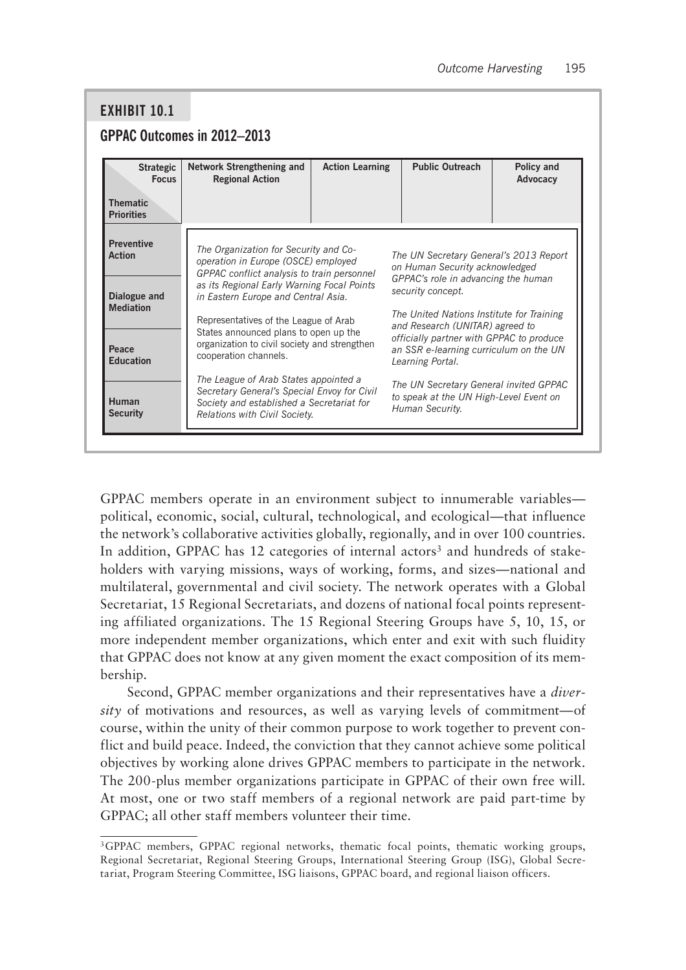### **GPPAC Outcomes in 2012–2013**

| <b>Strategic</b><br><b>Focus</b><br><b>Thematic</b><br><b>Priorities</b> | <b>Network Strengthening and</b><br><b>Regional Action</b>                                                                                                                                                                                                                                                                                                                                                                                                                                                                                       | <b>Action Learning</b> | <b>Public Outreach</b>                                                                                                                                                                                                                                                                                                         | Policy and<br><b>Advocacy</b> |
|--------------------------------------------------------------------------|--------------------------------------------------------------------------------------------------------------------------------------------------------------------------------------------------------------------------------------------------------------------------------------------------------------------------------------------------------------------------------------------------------------------------------------------------------------------------------------------------------------------------------------------------|------------------------|--------------------------------------------------------------------------------------------------------------------------------------------------------------------------------------------------------------------------------------------------------------------------------------------------------------------------------|-------------------------------|
| <b>Preventive</b><br><b>Action</b>                                       | The Organization for Security and Co-<br>operation in Europe (OSCE) employed<br>GPPAC conflict analysis to train personnel<br>as its Regional Early Warning Focal Points<br>in Eastern Europe and Central Asia.<br>Representatives of the League of Arab<br>States announced plans to open up the<br>organization to civil society and strengthen<br>cooperation channels.<br>The League of Arab States appointed a<br>Secretary General's Special Envoy for Civil<br>Society and established a Secretariat for<br>Relations with Civil Society. |                        | The UN Secretary General's 2013 Report<br>on Human Security acknowledged<br>GPPAC's role in advancing the human<br>security concept.<br>The United Nations Institute for Training<br>and Research (UNITAR) agreed to<br>officially partner with GPPAC to produce<br>an SSR e-learning curriculum on the UN<br>Learning Portal. |                               |
| Dialogue and<br><b>Mediation</b>                                         |                                                                                                                                                                                                                                                                                                                                                                                                                                                                                                                                                  |                        |                                                                                                                                                                                                                                                                                                                                |                               |
| Peace<br><b>Education</b>                                                |                                                                                                                                                                                                                                                                                                                                                                                                                                                                                                                                                  |                        |                                                                                                                                                                                                                                                                                                                                |                               |
| <b>Human</b><br><b>Security</b>                                          |                                                                                                                                                                                                                                                                                                                                                                                                                                                                                                                                                  |                        | The UN Secretary General invited GPPAC<br>to speak at the UN High-Level Event on<br>Human Security.                                                                                                                                                                                                                            |                               |

GPPAC members operate in an environment subject to innumerable variables political, economic, social, cultural, technological, and ecological— that influence the network's collaborative activities globally, regionally, and in over 100 countries. In addition, GPPAC has 12 categories of internal actors<sup>3</sup> and hundreds of stakeholders with varying missions, ways of working, forms, and sizes—national and multilateral, governmental and civil society. The network operates with a Global Secretariat, 15 Regional Secretariats, and dozens of national focal points representing affiliated organizations. The 15 Regional Steering Groups have 5, 10, 15, or more independent member organizations, which enter and exit with such fluidity that GPPAC does not know at any given moment the exact composition of its membership.

Second, GPPAC member organizations and their representatives have a *diversity* of motivations and resources, as well as varying levels of commitment— of course, within the unity of their common purpose to work together to prevent conflict and build peace. Indeed, the conviction that they cannot achieve some political objectives by working alone drives GPPAC members to participate in the network. The 200-plus member organizations participate in GPPAC of their own free will. At most, one or two staff members of a regional network are paid part-time by GPPAC; all other staff members volunteer their time.

<sup>3</sup>GPPAC members, GPPAC regional networks, thematic focal points, thematic working groups, Regional Secretariat, Regional Steering Groups, International Steering Group (ISG), Global Secretariat, Program Steering Committee, ISG liaisons, GPPAC board, and regional liaison officers.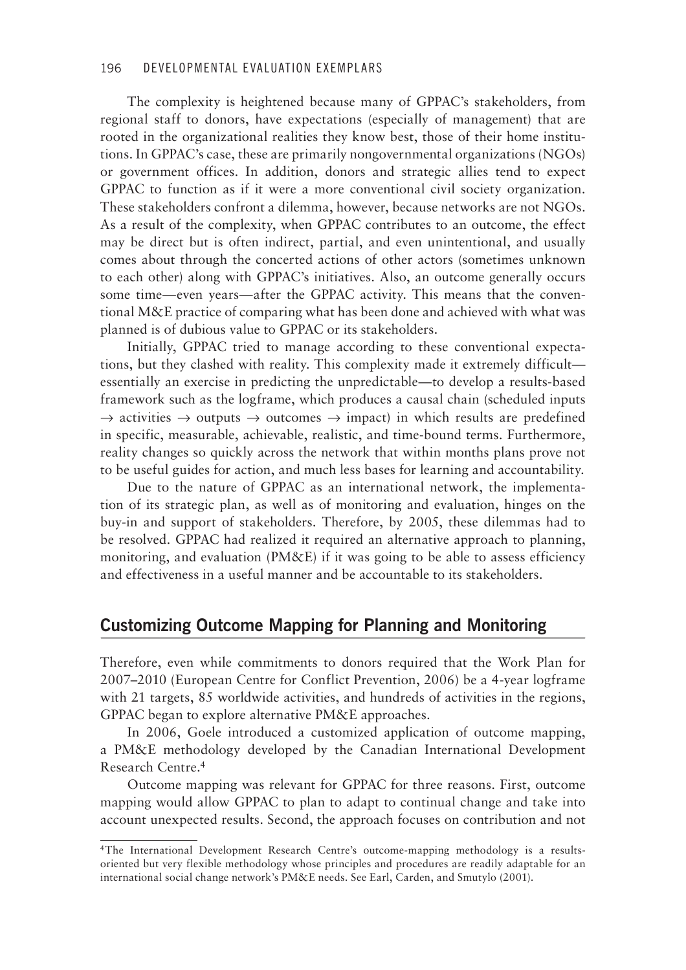#### 196 DEVELOPMENTAL EVALUATION EXEMPLARS

The complexity is heightened because many of GPPAC's stakeholders, from regional staff to donors, have expectations (especially of management) that are rooted in the organizational realities they know best, those of their home institutions. In GPPAC's case, these are primarily nongovernmental organizations (NGOs) or government offices. In addition, donors and strategic allies tend to expect GPPAC to function as if it were a more conventional civil society organization. These stakeholders confront a dilemma, however, because networks are not NGOs. As a result of the complexity, when GPPAC contributes to an outcome, the effect may be direct but is often indirect, partial, and even unintentional, and usually comes about through the concerted actions of other actors (sometimes unknown to each other) along with GPPAC's initiatives. Also, an outcome generally occurs some time—even years—after the GPPAC activity. This means that the conventional M&E practice of comparing what has been done and achieved with what was planned is of dubious value to GPPAC or its stakeholders.

Initially, GPPAC tried to manage according to these conventional expectations, but they clashed with reality. This complexity made it extremely difficult essentially an exercise in predicting the unpredictable—to develop a results-based framework such as the logframe, which produces a causal chain (scheduled inputs  $\rightarrow$  activities  $\rightarrow$  outputs  $\rightarrow$  outcomes  $\rightarrow$  impact) in which results are predefined in specific, measurable, achievable, realistic, and time-bound terms. Furthermore, reality changes so quickly across the network that within months plans prove not to be useful guides for action, and much less bases for learning and accountability.

Due to the nature of GPPAC as an international network, the implementation of its strategic plan, as well as of monitoring and evaluation, hinges on the buy-in and support of stakeholders. Therefore, by 2005, these dilemmas had to be resolved. GPPAC had realized it required an alternative approach to planning, monitoring, and evaluation (PM&E) if it was going to be able to assess efficiency and effectiveness in a useful manner and be accountable to its stakeholders.

### **Customizing Outcome Mapping for Planning and Monitoring**

Therefore, even while commitments to donors required that the Work Plan for 2007–2010 (European Centre for Conflict Prevention, 2006) be a 4-year logframe with 21 targets, 85 worldwide activities, and hundreds of activities in the regions, GPPAC began to explore alternative PM&E approaches.

In 2006, Goele introduced a customized application of outcome mapping, a PM&E methodology developed by the Canadian International Development Research Centre.<sup>4</sup>

Outcome mapping was relevant for GPPAC for three reasons. First, outcome mapping would allow GPPAC to plan to adapt to continual change and take into account unexpected results. Second, the approach focuses on contribution and not

<sup>4</sup> The International Development Research Centre's outcome- mapping methodology is a resultsoriented but very flexible methodology whose principles and procedures are readily adaptable for an international social change network's PM&E needs. See Earl, Carden, and Smutylo (2001).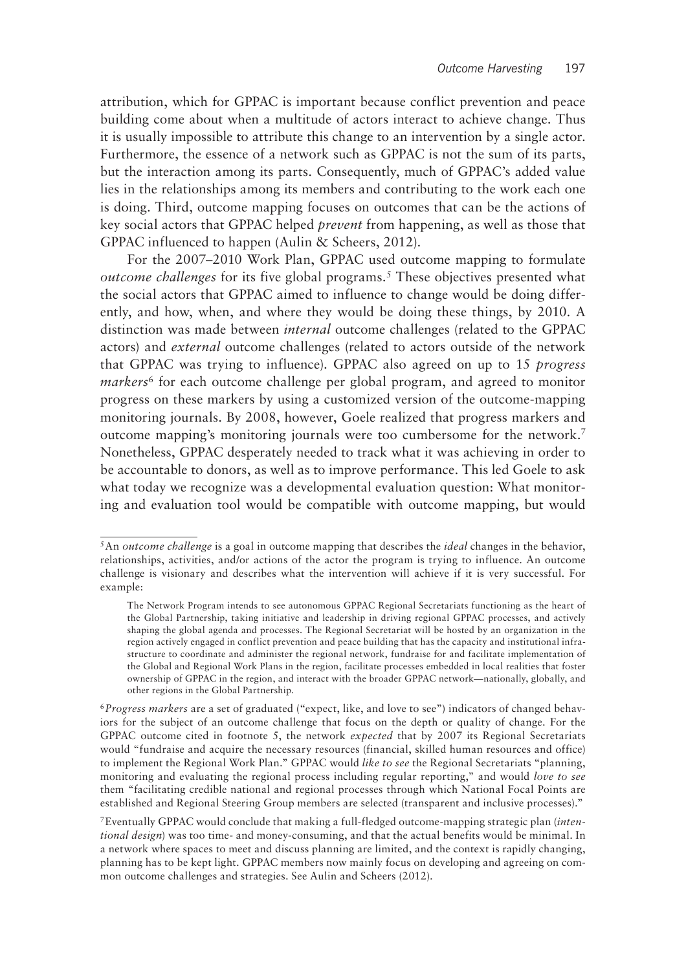attribution, which for GPPAC is important because conflict prevention and peace building come about when a multitude of actors interact to achieve change. Thus it is usually impossible to attribute this change to an intervention by a single actor. Furthermore, the essence of a network such as GPPAC is not the sum of its parts, but the interaction among its parts. Consequently, much of GPPAC's added value lies in the relationships among its members and contributing to the work each one is doing. Third, outcome mapping focuses on outcomes that can be the actions of key social actors that GPPAC helped *prevent* from happening, as well as those that GPPAC influenced to happen (Aulin & Scheers, 2012).

For the 2007–2010 Work Plan, GPPAC used outcome mapping to formulate *outcome challenges* for its five global programs.<sup>5</sup> These objectives presented what the social actors that GPPAC aimed to influence to change would be doing differently, and how, when, and where they would be doing these things, by 2010. A distinction was made between *internal* outcome challenges (related to the GPPAC actors) and *external* outcome challenges (related to actors outside of the network that GPPAC was trying to influence). GPPAC also agreed on up to 15 *progress markers*<sup>6</sup> for each outcome challenge per global program, and agreed to monitor progress on these markers by using a customized version of the outcome- mapping monitoring journals. By 2008, however, Goele realized that progress markers and outcome mapping's monitoring journals were too cumbersome for the network.<sup>7</sup> Nonetheless, GPPAC desperately needed to track what it was achieving in order to be accountable to donors, as well as to improve performance. This led Goele to ask what today we recognize was a developmental evaluation question: What monitoring and evaluation tool would be compatible with outcome mapping, but would

<sup>5</sup>An *outcome challenge* is a goal in outcome mapping that describes the *ideal* changes in the behavior, relationships, activities, and/or actions of the actor the program is trying to influence. An outcome challenge is visionary and describes what the intervention will achieve if it is very successful. For example:

The Network Program intends to see autonomous GPPAC Regional Secretariats functioning as the heart of the Global Partnership, taking initiative and leadership in driving regional GPPAC processes, and actively shaping the global agenda and processes. The Regional Secretariat will be hosted by an organization in the region actively engaged in conflict prevention and peace building that has the capacity and institutional infrastructure to coordinate and administer the regional network, fundraise for and facilitate implementation of the Global and Regional Work Plans in the region, facilitate processes embedded in local realities that foster ownership of GPPAC in the region, and interact with the broader GPPAC network— nationally, globally, and other regions in the Global Partnership.

<sup>6</sup> *Progress markers* are a set of graduated ("expect, like, and love to see") indicators of changed behaviors for the subject of an outcome challenge that focus on the depth or quality of change. For the GPPAC outcome cited in footnote 5, the network *expected* that by 2007 its Regional Secretariats would "fundraise and acquire the necessary resources (financial, skilled human resources and office) to implement the Regional Work Plan." GPPAC would *like to see* the Regional Secretariats "planning, monitoring and evaluating the regional process including regular reporting," and would *love to see* them "facilitating credible national and regional processes through which National Focal Points are established and Regional Steering Group members are selected (transparent and inclusive processes)."

<sup>7</sup> Eventually GPPAC would conclude that making a full- fledged outcome- mapping strategic plan (*intentional design*) was too time- and money-consuming, and that the actual benefits would be minimal. In a network where spaces to meet and discuss planning are limited, and the context is rapidly changing, planning has to be kept light. GPPAC members now mainly focus on developing and agreeing on common outcome challenges and strategies. See Aulin and Scheers (2012).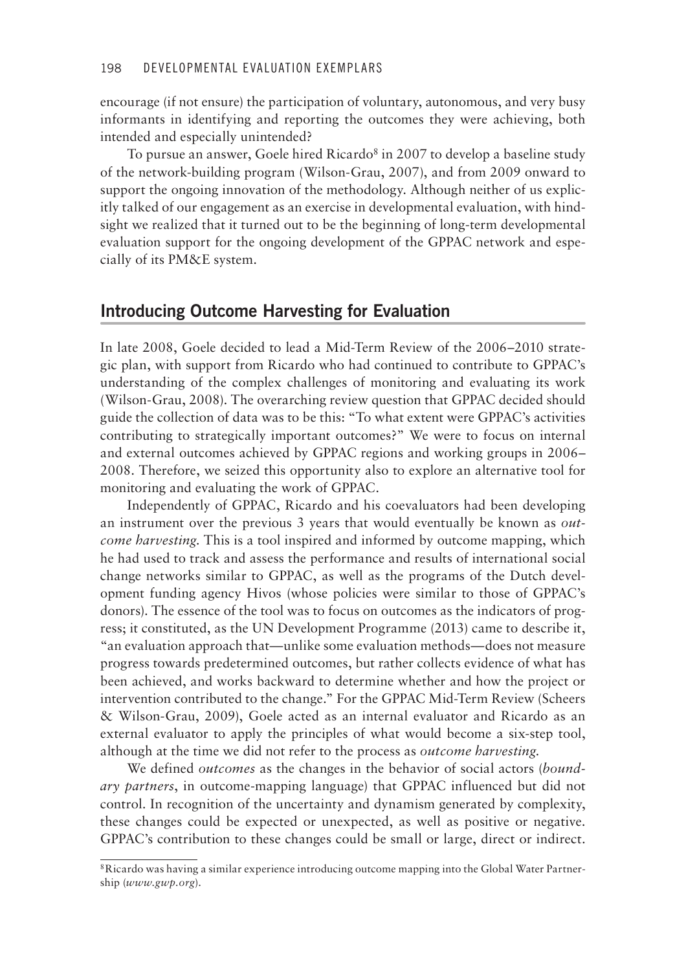encourage (if not ensure) the participation of voluntary, autonomous, and very busy informants in identifying and reporting the outcomes they were achieving, both intended and especially unintended?

To pursue an answer, Goele hired Ricardo<sup>8</sup> in 2007 to develop a baseline study of the network- building program (Wilson-Grau, 2007), and from 2009 onward to support the ongoing innovation of the methodology. Although neither of us explicitly talked of our engagement as an exercise in developmental evaluation, with hindsight we realized that it turned out to be the beginning of long-term developmental evaluation support for the ongoing development of the GPPAC network and especially of its PM&E system.

### **Introducing Outcome Harvesting for Evaluation**

In late 2008, Goele decided to lead a Mid-Term Review of the 2006–2010 strategic plan, with support from Ricardo who had continued to contribute to GPPAC's understanding of the complex challenges of monitoring and evaluating its work (Wilson-Grau, 2008). The overarching review question that GPPAC decided should guide the collection of data was to be this: "To what extent were GPPAC's activities contributing to strategically important outcomes?" We were to focus on internal and external outcomes achieved by GPPAC regions and working groups in 2006– 2008. Therefore, we seized this opportunity also to explore an alternative tool for monitoring and evaluating the work of GPPAC.

Independently of GPPAC, Ricardo and his coevaluators had been developing an instrument over the previous 3 years that would eventually be known as *outcome harvesting*. This is a tool inspired and informed by outcome mapping, which he had used to track and assess the performance and results of international social change networks similar to GPPAC, as well as the programs of the Dutch development funding agency Hivos (whose policies were similar to those of GPPAC's donors). The essence of the tool was to focus on outcomes as the indicators of progress; it constituted, as the UN Development Programme (2013) came to describe it, "an evaluation approach that— unlike some evaluation methods— does not measure progress towards predetermined outcomes, but rather collects evidence of what has been achieved, and works backward to determine whether and how the project or intervention contributed to the change." For the GPPAC Mid-Term Review (Scheers & Wilson-Grau, 2009), Goele acted as an internal evaluator and Ricardo as an external evaluator to apply the principles of what would become a six-step tool, although at the time we did not refer to the process as *outcome harvesting*.

We defined *outcomes* as the changes in the behavior of social actors (*boundary partners*, in outcome-mapping language) that GPPAC influenced but did not control. In recognition of the uncertainty and dynamism generated by complexity, these changes could be expected or unexpected, as well as positive or negative. GPPAC's contribution to these changes could be small or large, direct or indirect.

<sup>8</sup> Ricardo was having a similar experience introducing outcome mapping into the Global Water Partnership (*www.gwp.org*).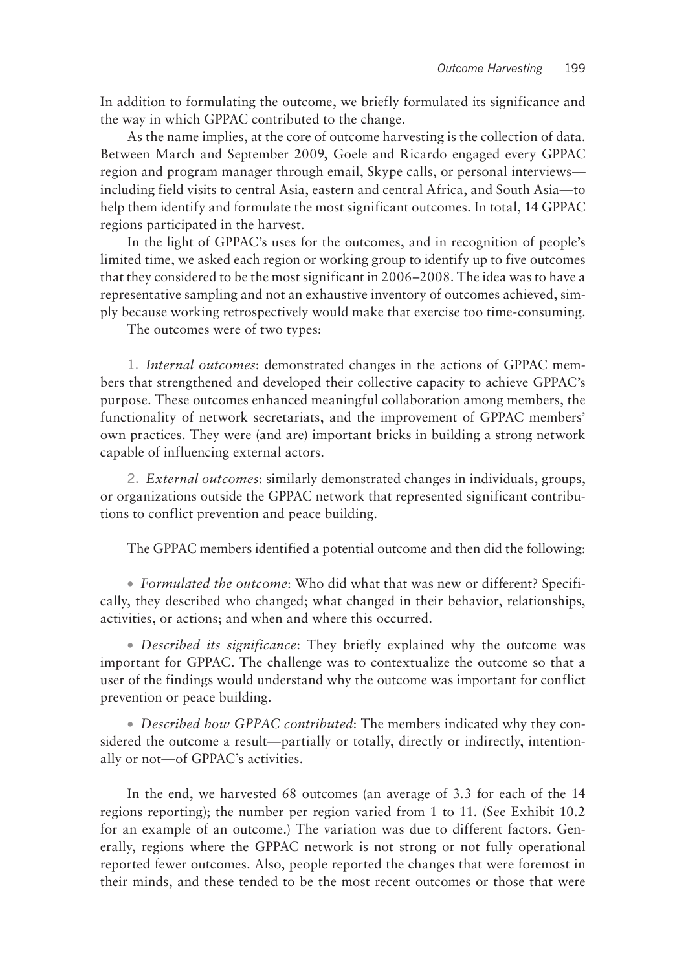In addition to formulating the outcome, we briefly formulated its significance and the way in which GPPAC contributed to the change.

As the name implies, at the core of outcome harvesting is the collection of data. Between March and September 2009, Goele and Ricardo engaged every GPPAC region and program manager through email, Skype calls, or personal interviews including field visits to central Asia, eastern and central Africa, and South Asia—to help them identify and formulate the most significant outcomes. In total, 14 GPPAC regions participated in the harvest.

In the light of GPPAC's uses for the outcomes, and in recognition of people's limited time, we asked each region or working group to identify up to five outcomes that they considered to be the most significant in 2006–2008. The idea was to have a representative sampling and not an exhaustive inventory of outcomes achieved, simply because working retrospectively would make that exercise too time- consuming.

The outcomes were of two types:

1. *Internal outcomes*: demonstrated changes in the actions of GPPAC members that strengthened and developed their collective capacity to achieve GPPAC's purpose. These outcomes enhanced meaningful collaboration among members, the functionality of network secretariats, and the improvement of GPPAC members' own practices. They were (and are) important bricks in building a strong network capable of influencing external actors.

2. *External outcomes*: similarly demonstrated changes in individuals, groups, or organizations outside the GPPAC network that represented significant contributions to conflict prevention and peace building.

The GPPAC members identified a potential outcome and then did the following:

 • *Formulated the outcome*: Who did what that was new or different? Specifically, they described who changed; what changed in their behavior, relationships, activities, or actions; and when and where this occurred.

 • *Described its significance*: They briefly explained why the outcome was important for GPPAC. The challenge was to contextualize the outcome so that a user of the findings would understand why the outcome was important for conflict prevention or peace building.

 • *Described how GPPAC contributed*: The members indicated why they considered the outcome a result—partially or totally, directly or indirectly, intentionally or not—of GPPAC's activities.

In the end, we harvested 68 outcomes (an average of 3.3 for each of the 14 regions reporting); the number per region varied from 1 to 11. (See Exhibit 10.2 for an example of an outcome.) The variation was due to different factors. Generally, regions where the GPPAC network is not strong or not fully operational reported fewer outcomes. Also, people reported the changes that were foremost in their minds, and these tended to be the most recent outcomes or those that were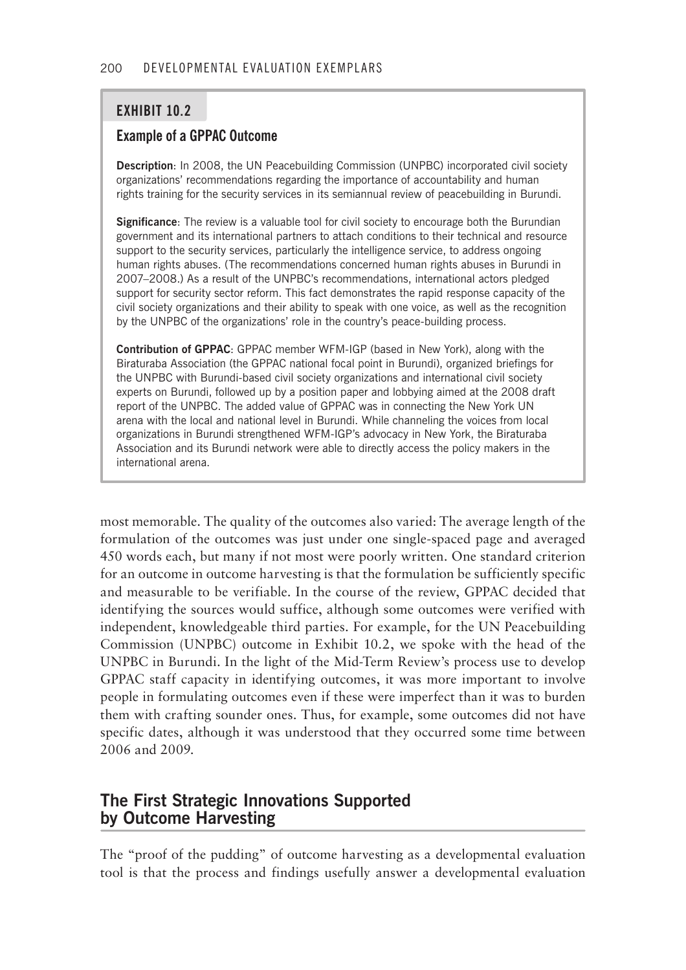#### **Example of a GPPAC Outcome**

**Description**: In 2008, the UN Peacebuilding Commission (UNPBC) incorporated civil society organizations' recommendations regarding the importance of accountability and human rights training for the security services in its semiannual review of peacebuilding in Burundi.

**Significance**: The review is a valuable tool for civil society to encourage both the Burundian government and its international partners to attach conditions to their technical and resource support to the security services, particularly the intelligence service, to address ongoing human rights abuses. (The recommendations concerned human rights abuses in Burundi in 2007–2008.) As a result of the UNPBC's recommendations, international actors pledged support for security sector reform. This fact demonstrates the rapid response capacity of the civil society organizations and their ability to speak with one voice, as well as the recognition by the UNPBC of the organizations' role in the country's peace-building process.

**Contribution of GPPAC**: GPPAC member WFM-IGP (based in New York), along with the Biraturaba Association (the GPPAC national focal point in Burundi), organized briefings for the UNPBC with Burundi- based civil society organizations and international civil society experts on Burundi, followed up by a position paper and lobbying aimed at the 2008 draft report of the UNPBC. The added value of GPPAC was in connecting the New York UN arena with the local and national level in Burundi. While channeling the voices from local organizations in Burundi strengthened WFM-IGP's advocacy in New York, the Biraturaba Association and its Burundi network were able to directly access the policy makers in the international arena.

most memorable. The quality of the outcomes also varied: The average length of the formulation of the outcomes was just under one single- spaced page and averaged 450 words each, but many if not most were poorly written. One standard criterion for an outcome in outcome harvesting is that the formulation be sufficiently specific and measurable to be verifiable. In the course of the review, GPPAC decided that identifying the sources would suffice, although some outcomes were verified with independent, knowledgeable third parties. For example, for the UN Peacebuilding Commission (UNPBC) outcome in Exhibit 10.2, we spoke with the head of the UNPBC in Burundi. In the light of the Mid-Term Review's process use to develop GPPAC staff capacity in identifying outcomes, it was more important to involve people in formulating outcomes even if these were imperfect than it was to burden them with crafting sounder ones. Thus, for example, some outcomes did not have specific dates, although it was understood that they occurred some time between 2006 and 2009.

### **The First Strategic Innovations Supported by Outcome Harvesting**

The "proof of the pudding" of outcome harvesting as a developmental evaluation tool is that the process and findings usefully answer a developmental evaluation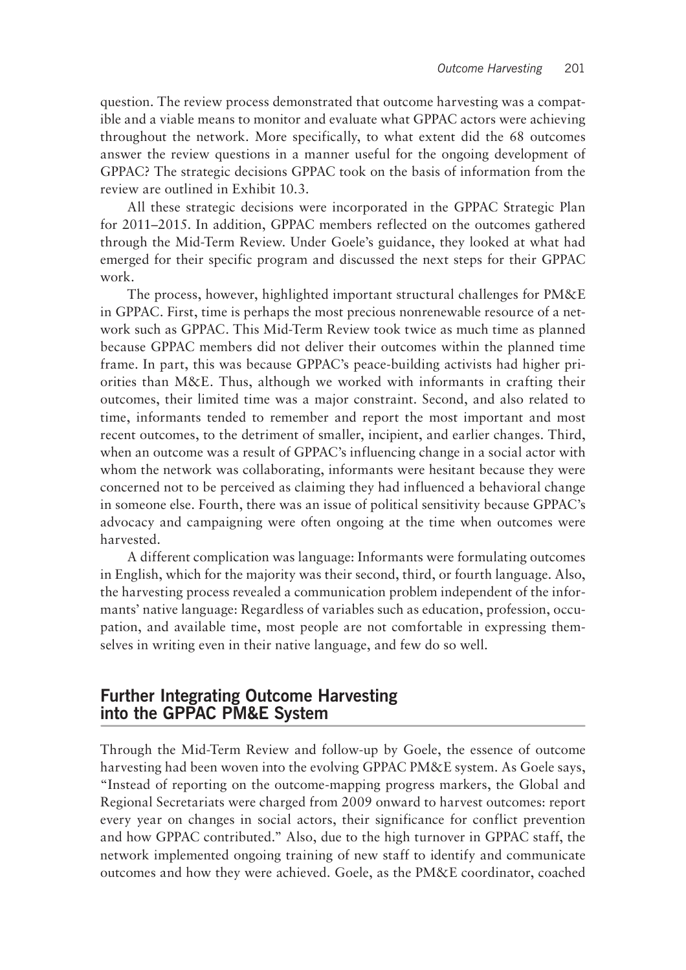question. The review process demonstrated that outcome harvesting was a compatible and a viable means to monitor and evaluate what GPPAC actors were achieving throughout the network. More specifically, to what extent did the 68 outcomes answer the review questions in a manner useful for the ongoing development of GPPAC? The strategic decisions GPPAC took on the basis of information from the review are outlined in Exhibit 10.3.

All these strategic decisions were incorporated in the GPPAC Strategic Plan for 2011–2015. In addition, GPPAC members reflected on the outcomes gathered through the Mid-Term Review. Under Goele's guidance, they looked at what had emerged for their specific program and discussed the next steps for their GPPAC work.

The process, however, highlighted important structural challenges for PM&E in GPPAC. First, time is perhaps the most precious nonrenewable resource of a network such as GPPAC. This Mid-Term Review took twice as much time as planned because GPPAC members did not deliver their outcomes within the planned time frame. In part, this was because GPPAC's peace- building activists had higher priorities than M&E. Thus, although we worked with informants in crafting their outcomes, their limited time was a major constraint. Second, and also related to time, informants tended to remember and report the most important and most recent outcomes, to the detriment of smaller, incipient, and earlier changes. Third, when an outcome was a result of GPPAC's influencing change in a social actor with whom the network was collaborating, informants were hesitant because they were concerned not to be perceived as claiming they had influenced a behavioral change in someone else. Fourth, there was an issue of political sensitivity because GPPAC's advocacy and campaigning were often ongoing at the time when outcomes were harvested.

A different complication was language: Informants were formulating outcomes in English, which for the majority was their second, third, or fourth language. Also, the harvesting process revealed a communication problem independent of the informants' native language: Regardless of variables such as education, profession, occupation, and available time, most people are not comfortable in expressing themselves in writing even in their native language, and few do so well.

### **Further Integrating Outcome Harvesting into the GPPAC PM&E System**

Through the Mid-Term Review and follow-up by Goele, the essence of outcome harvesting had been woven into the evolving GPPAC PM&E system. As Goele says, "Instead of reporting on the outcome- mapping progress markers, the Global and Regional Secretariats were charged from 2009 onward to harvest outcomes: report every year on changes in social actors, their significance for conflict prevention and how GPPAC contributed." Also, due to the high turnover in GPPAC staff, the network implemented ongoing training of new staff to identify and communicate outcomes and how they were achieved. Goele, as the PM&E coordinator, coached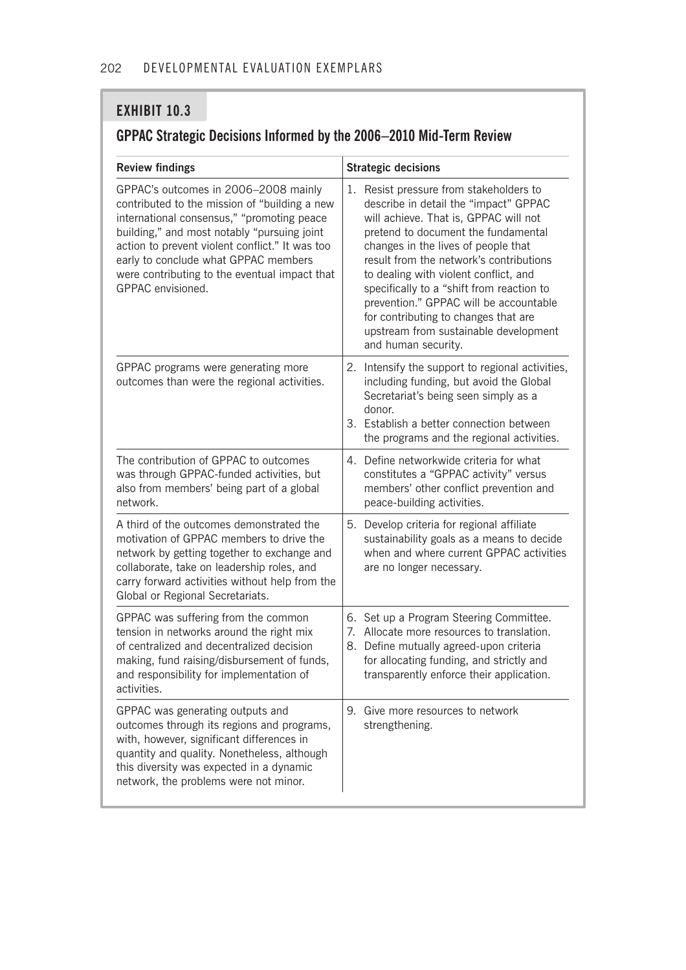# **GPPAC Strategic Decisions Informed by the 2006–2010 Mid-Term Review**

| <b>Review findings</b>                                                                                                                                                                                                                                                                                                                              | <b>Strategic decisions</b>                                                                                                                                                                                                                                                                                                                                                                                                                                                                    |  |
|-----------------------------------------------------------------------------------------------------------------------------------------------------------------------------------------------------------------------------------------------------------------------------------------------------------------------------------------------------|-----------------------------------------------------------------------------------------------------------------------------------------------------------------------------------------------------------------------------------------------------------------------------------------------------------------------------------------------------------------------------------------------------------------------------------------------------------------------------------------------|--|
| GPPAC's outcomes in 2006-2008 mainly<br>contributed to the mission of "building a new<br>international consensus," "promoting peace<br>building," and most notably "pursuing joint<br>action to prevent violent conflict." It was too<br>early to conclude what GPPAC members<br>were contributing to the eventual impact that<br>GPPAC envisioned. | 1.<br>Resist pressure from stakeholders to<br>describe in detail the "impact" GPPAC<br>will achieve. That is, GPPAC will not<br>pretend to document the fundamental<br>changes in the lives of people that<br>result from the network's contributions<br>to dealing with violent conflict, and<br>specifically to a "shift from reaction to<br>prevention." GPPAC will be accountable<br>for contributing to changes that are<br>upstream from sustainable development<br>and human security. |  |
| GPPAC programs were generating more<br>outcomes than were the regional activities.                                                                                                                                                                                                                                                                  | 2. Intensify the support to regional activities,<br>including funding, but avoid the Global<br>Secretariat's being seen simply as a<br>donor.<br>3. Establish a better connection between<br>the programs and the regional activities.                                                                                                                                                                                                                                                        |  |
| The contribution of GPPAC to outcomes<br>was through GPPAC-funded activities, but<br>also from members' being part of a global<br>network.                                                                                                                                                                                                          | 4. Define networkwide criteria for what<br>constitutes a "GPPAC activity" versus<br>members' other conflict prevention and<br>peace-building activities.                                                                                                                                                                                                                                                                                                                                      |  |
| A third of the outcomes demonstrated the<br>motivation of GPPAC members to drive the<br>network by getting together to exchange and<br>collaborate, take on leadership roles, and<br>carry forward activities without help from the<br>Global or Regional Secretariats.                                                                             | 5. Develop criteria for regional affiliate<br>sustainability goals as a means to decide<br>when and where current GPPAC activities<br>are no longer necessary.                                                                                                                                                                                                                                                                                                                                |  |
| GPPAC was suffering from the common<br>tension in networks around the right mix<br>of centralized and decentralized decision<br>making, fund raising/disbursement of funds,<br>and responsibility for implementation of<br>activities.                                                                                                              | 6. Set up a Program Steering Committee.<br>Allocate more resources to translation.<br>7.<br>8. Define mutually agreed-upon criteria<br>for allocating funding, and strictly and<br>transparently enforce their application.                                                                                                                                                                                                                                                                   |  |
| GPPAC was generating outputs and<br>outcomes through its regions and programs,<br>with, however, significant differences in<br>quantity and quality. Nonetheless, although<br>this diversity was expected in a dynamic<br>network, the problems were not minor.                                                                                     | 9. Give more resources to network<br>strengthening.                                                                                                                                                                                                                                                                                                                                                                                                                                           |  |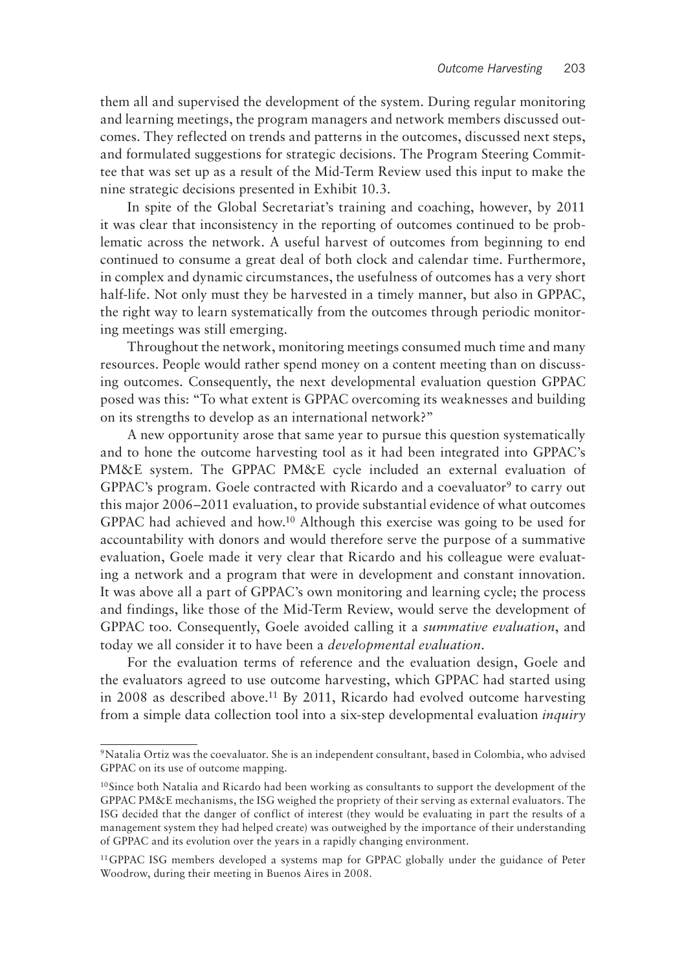them all and supervised the development of the system. During regular monitoring and learning meetings, the program managers and network members discussed outcomes. They reflected on trends and patterns in the outcomes, discussed next steps, and formulated suggestions for strategic decisions. The Program Steering Committee that was set up as a result of the Mid-Term Review used this input to make the nine strategic decisions presented in Exhibit 10.3.

In spite of the Global Secretariat's training and coaching, however, by 2011 it was clear that inconsistency in the reporting of outcomes continued to be problematic across the network. A useful harvest of outcomes from beginning to end continued to consume a great deal of both clock and calendar time. Furthermore, in complex and dynamic circumstances, the usefulness of outcomes has a very short half-life. Not only must they be harvested in a timely manner, but also in GPPAC, the right way to learn systematically from the outcomes through periodic monitoring meetings was still emerging.

Throughout the network, monitoring meetings consumed much time and many resources. People would rather spend money on a content meeting than on discussing outcomes. Consequently, the next developmental evaluation question GPPAC posed was this: "To what extent is GPPAC overcoming its weaknesses and building on its strengths to develop as an international network?"

A new opportunity arose that same year to pursue this question systematically and to hone the outcome harvesting tool as it had been integrated into GPPAC's PM&E system. The GPPAC PM&E cycle included an external evaluation of GPPAC's program. Goele contracted with Ricardo and a coevaluator<sup>9</sup> to carry out this major 2006–2011 evaluation, to provide substantial evidence of what outcomes GPPAC had achieved and how.<sup>10</sup> Although this exercise was going to be used for accountability with donors and would therefore serve the purpose of a summative evaluation, Goele made it very clear that Ricardo and his colleague were evaluating a network and a program that were in development and constant innovation. It was above all a part of GPPAC's own monitoring and learning cycle; the process and findings, like those of the Mid-Term Review, would serve the development of GPPAC too. Consequently, Goele avoided calling it a *summative evaluation*, and today we all consider it to have been a *developmental evaluation*.

For the evaluation terms of reference and the evaluation design, Goele and the evaluators agreed to use outcome harvesting, which GPPAC had started using in 2008 as described above.<sup>11</sup> By 2011, Ricardo had evolved outcome harvesting from a simple data collection tool into a six-step developmental evaluation *inquiry* 

<sup>9</sup>Natalia Ortiz was the coevaluator. She is an independent consultant, based in Colombia, who advised GPPAC on its use of outcome mapping.

<sup>&</sup>lt;sup>10</sup>Since both Natalia and Ricardo had been working as consultants to support the development of the GPPAC PM&E mechanisms, the ISG weighed the propriety of their serving as external evaluators. The ISG decided that the danger of conflict of interest (they would be evaluating in part the results of a management system they had helped create) was outweighed by the importance of their understanding of GPPAC and its evolution over the years in a rapidly changing environment.

<sup>11</sup>GPPAC ISG members developed a systems map for GPPAC globally under the guidance of Peter Woodrow, during their meeting in Buenos Aires in 2008.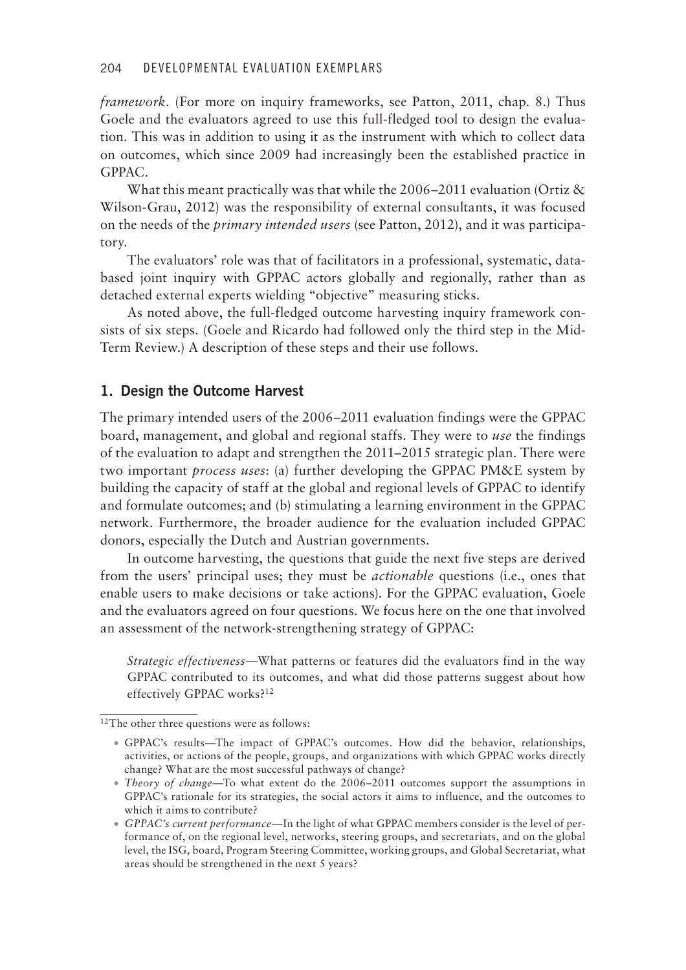*framework*. (For more on inquiry frameworks, see Patton, 2011, chap. 8.) Thus Goele and the evaluators agreed to use this full-fledged tool to design the evaluation. This was in addition to using it as the instrument with which to collect data on outcomes, which since 2009 had increasingly been the established practice in GPPAC.

What this meant practically was that while the 2006–2011 evaluation (Ortiz & Wilson-Grau, 2012) was the responsibility of external consultants, it was focused on the needs of the *primary intended users* (see Patton, 2012), and it was participatory.

The evaluators' role was that of facilitators in a professional, systematic, databased joint inquiry with GPPAC actors globally and regionally, rather than as detached external experts wielding "objective" measuring sticks.

As noted above, the full-fledged outcome harvesting inquiry framework consists of six steps. (Goele and Ricardo had followed only the third step in the Mid-Term Review.) A description of these steps and their use follows.

#### **1. Design the Outcome Harvest**

The primary intended users of the 2006–2011 evaluation findings were the GPPAC board, management, and global and regional staffs. They were to *use* the findings of the evaluation to adapt and strengthen the 2011–2015 strategic plan. There were two important *process uses*: (a) further developing the GPPAC PM&E system by building the capacity of staff at the global and regional levels of GPPAC to identify and formulate outcomes; and (b) stimulating a learning environment in the GPPAC network. Furthermore, the broader audience for the evaluation included GPPAC donors, especially the Dutch and Austrian governments.

In outcome harvesting, the questions that guide the next five steps are derived from the users' principal uses; they must be *actionable* questions (i.e., ones that enable users to make decisions or take actions). For the GPPAC evaluation, Goele and the evaluators agreed on four questions. We focus here on the one that involved an assessment of the network-strengthening strategy of GPPAC:

*Strategic effectiveness*—What patterns or features did the evaluators find in the way GPPAC contributed to its outcomes, and what did those patterns suggest about how effectively GPPAC works?<sup>12</sup>

<sup>&</sup>lt;sup>12</sup>The other three questions were as follows:

<sup>•</sup> GPPAC's results—The impact of GPPAC's outcomes. How did the behavior, relationships, activities, or actions of the people, groups, and organizations with which GPPAC works directly change? What are the most successful pathways of change?

<sup>•</sup> *Theory of change*—To what extent do the 2006–2011 outcomes support the assumptions in GPPAC's rationale for its strategies, the social actors it aims to influence, and the outcomes to which it aims to contribute?

<sup>•</sup> *GPPAC's current performance*—In the light of what GPPAC members consider is the level of performance of, on the regional level, networks, steering groups, and secretariats, and on the global level, the ISG, board, Program Steering Committee, working groups, and Global Secretariat, what areas should be strengthened in the next 5 years?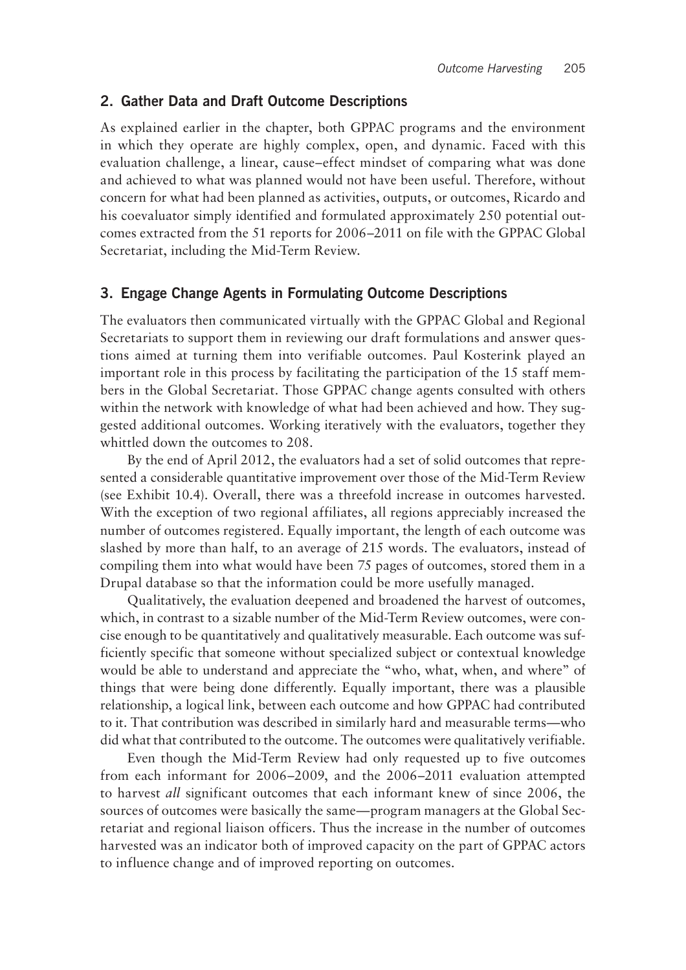#### **2. Gather Data and Draft Outcome Descriptions**

As explained earlier in the chapter, both GPPAC programs and the environment in which they operate are highly complex, open, and dynamic. Faced with this evaluation challenge, a linear, cause– effect mindset of comparing what was done and achieved to what was planned would not have been useful. Therefore, without concern for what had been planned as activities, outputs, or outcomes, Ricardo and his coevaluator simply identified and formulated approximately 250 potential outcomes extracted from the 51 reports for 2006–2011 on file with the GPPAC Global Secretariat, including the Mid-Term Review.

#### **3. Engage Change Agents in Formulating Outcome Descriptions**

The evaluators then communicated virtually with the GPPAC Global and Regional Secretariats to support them in reviewing our draft formulations and answer questions aimed at turning them into verifiable outcomes. Paul Kosterink played an important role in this process by facilitating the participation of the 15 staff members in the Global Secretariat. Those GPPAC change agents consulted with others within the network with knowledge of what had been achieved and how. They suggested additional outcomes. Working iteratively with the evaluators, together they whittled down the outcomes to 208.

By the end of April 2012, the evaluators had a set of solid outcomes that represented a considerable quantitative improvement over those of the Mid-Term Review (see Exhibit 10.4). Overall, there was a threefold increase in outcomes harvested. With the exception of two regional affiliates, all regions appreciably increased the number of outcomes registered. Equally important, the length of each outcome was slashed by more than half, to an average of 215 words. The evaluators, instead of compiling them into what would have been 75 pages of outcomes, stored them in a Drupal database so that the information could be more usefully managed.

Qualitatively, the evaluation deepened and broadened the harvest of outcomes, which, in contrast to a sizable number of the Mid-Term Review outcomes, were concise enough to be quantitatively and qualitatively measurable. Each outcome was sufficiently specific that someone without specialized subject or contextual knowledge would be able to understand and appreciate the "who, what, when, and where" of things that were being done differently. Equally important, there was a plausible relationship, a logical link, between each outcome and how GPPAC had contributed to it. That contribution was described in similarly hard and measurable terms—who did what that contributed to the outcome. The outcomes were qualitatively verifiable.

Even though the Mid-Term Review had only requested up to five outcomes from each informant for 2006–2009, and the 2006–2011 evaluation attempted to harvest *all* significant outcomes that each informant knew of since 2006, the sources of outcomes were basically the same— program managers at the Global Secretariat and regional liaison officers. Thus the increase in the number of outcomes harvested was an indicator both of improved capacity on the part of GPPAC actors to influence change and of improved reporting on outcomes.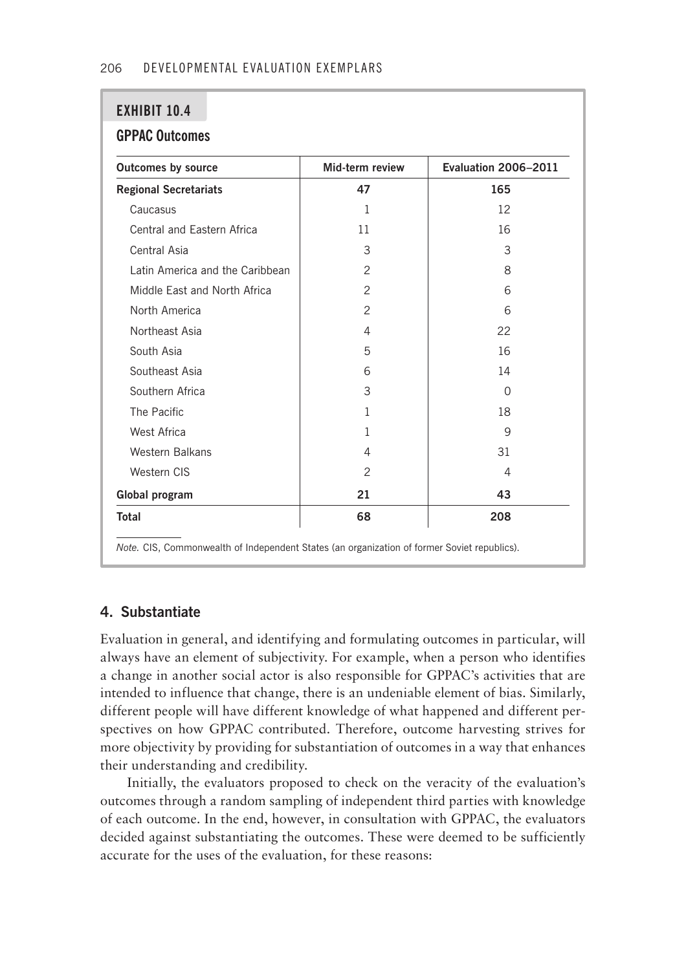| <b>Outcomes by source</b>       | Mid-term review | <b>Evaluation 2006-2011</b><br>165 |  |
|---------------------------------|-----------------|------------------------------------|--|
| <b>Regional Secretariats</b>    | 47              |                                    |  |
| Caucasus                        | $\mathbf{1}$    | 12                                 |  |
| Central and Eastern Africa      | 11              | 16                                 |  |
| Central Asia                    | 3               | 3                                  |  |
| Latin America and the Caribbean | 2               | 8                                  |  |
| Middle East and North Africa    | $\overline{2}$  | 6                                  |  |
| North America                   | $\overline{2}$  | 6                                  |  |
| Northeast Asia                  | 4               | 22                                 |  |
| South Asia                      | 5               | 16                                 |  |
| Southeast Asia                  | 6               | 14                                 |  |
| Southern Africa                 | 3               | $\Omega$                           |  |
| The Pacific                     | $\mathbf{1}$    | 18                                 |  |
| <b>West Africa</b>              | $\mathbf{1}$    | 9                                  |  |
| <b>Western Balkans</b>          | 4               | 31                                 |  |
| Western CIS                     | $\overline{2}$  | 4                                  |  |
| Global program                  | 21              | 43                                 |  |
| <b>Total</b>                    | 68              | 208                                |  |

### **4. Substantiate**

Evaluation in general, and identifying and formulating outcomes in particular, will always have an element of subjectivity. For example, when a person who identifies a change in another social actor is also responsible for GPPAC's activities that are intended to influence that change, there is an undeniable element of bias. Similarly, different people will have different knowledge of what happened and different perspectives on how GPPAC contributed. Therefore, outcome harvesting strives for more objectivity by providing for substantiation of outcomes in a way that enhances their understanding and credibility.

Initially, the evaluators proposed to check on the veracity of the evaluation's outcomes through a random sampling of independent third parties with knowledge of each outcome. In the end, however, in consultation with GPPAC, the evaluators decided against substantiating the outcomes. These were deemed to be sufficiently accurate for the uses of the evaluation, for these reasons: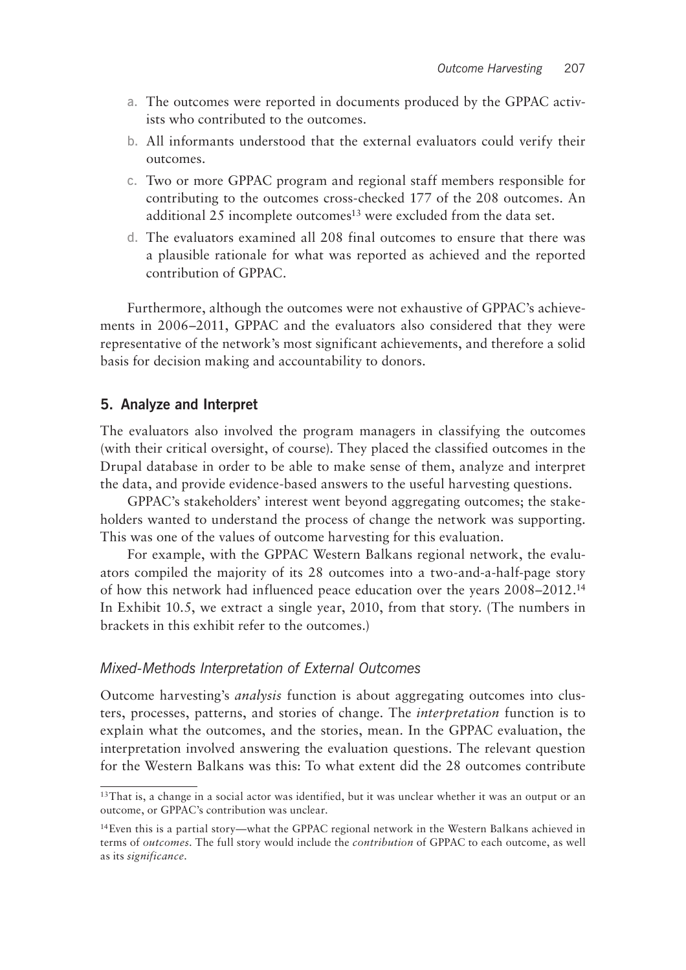- a. The outcomes were reported in documents produced by the GPPAC activists who contributed to the outcomes.
- b. All informants understood that the external evaluators could verify their outcomes.
- c. Two or more GPPAC program and regional staff members responsible for contributing to the outcomes cross- checked 177 of the 208 outcomes. An additional 25 incomplete outcomes<sup>13</sup> were excluded from the data set.
- d. The evaluators examined all 208 final outcomes to ensure that there was a plausible rationale for what was reported as achieved and the reported contribution of GPPAC.

Furthermore, although the outcomes were not exhaustive of GPPAC's achievements in 2006–2011, GPPAC and the evaluators also considered that they were representative of the network's most significant achievements, and therefore a solid basis for decision making and accountability to donors.

#### **5. Analyze and Interpret**

The evaluators also involved the program managers in classifying the outcomes (with their critical oversight, of course). They placed the classified outcomes in the Drupal database in order to be able to make sense of them, analyze and interpret the data, and provide evidence- based answers to the useful harvesting questions.

GPPAC's stakeholders' interest went beyond aggregating outcomes; the stakeholders wanted to understand the process of change the network was supporting. This was one of the values of outcome harvesting for this evaluation.

For example, with the GPPAC Western Balkans regional network, the evaluators compiled the majority of its 28 outcomes into a two-and-a-half-page story of how this network had influenced peace education over the years 2008–2012.<sup>14</sup> In Exhibit 10.5, we extract a single year, 2010, from that story. (The numbers in brackets in this exhibit refer to the outcomes.)

#### *Mixed-Methods Interpretation of External Outcomes*

Outcome harvesting's *analysis* function is about aggregating outcomes into clusters, processes, patterns, and stories of change. The *interpretation* function is to explain what the outcomes, and the stories, mean. In the GPPAC evaluation, the interpretation involved answering the evaluation questions. The relevant question for the Western Balkans was this: To what extent did the 28 outcomes contribute

<sup>&</sup>lt;sup>13</sup>That is, a change in a social actor was identified, but it was unclear whether it was an output or an outcome, or GPPAC's contribution was unclear.

<sup>14</sup>Even this is a partial story—what the GPPAC regional network in the Western Balkans achieved in terms of *outcomes*. The full story would include the *contribution* of GPPAC to each outcome, as well as its *significance.*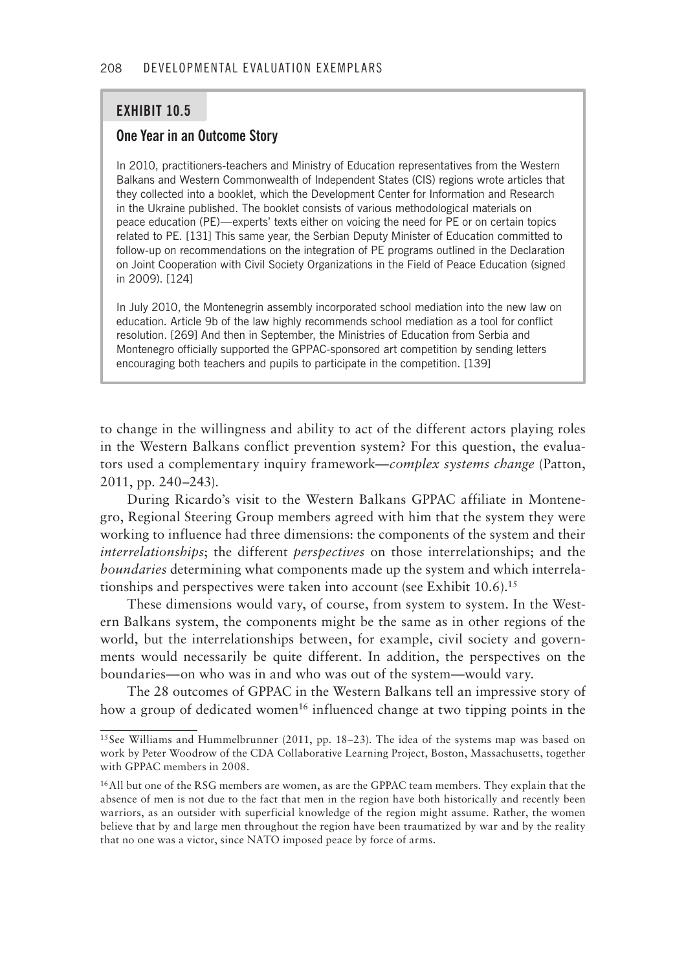#### **One Year in an Outcome Story**

In 2010, practitioners- teachers and Ministry of Education representatives from the Western Balkans and Western Commonwealth of Independent States (CIS) regions wrote articles that they collected into a booklet, which the Development Center for Information and Research in the Ukraine published. The booklet consists of various methodological materials on peace education (PE)—experts' texts either on voicing the need for PE or on certain topics related to PE. [131] This same year, the Serbian Deputy Minister of Education committed to follow- up on recommendations on the integration of PE programs outlined in the Declaration on Joint Cooperation with Civil Society Organizations in the Field of Peace Education (signed in 2009). [124]

In July 2010, the Montenegrin assembly incorporated school mediation into the new law on education. Article 9b of the law highly recommends school mediation as a tool for conflict resolution. [269] And then in September, the Ministries of Education from Serbia and Montenegro officially supported the GPPAC-sponsored art competition by sending letters encouraging both teachers and pupils to participate in the competition. [139]

to change in the willingness and ability to act of the different actors playing roles in the Western Balkans conflict prevention system? For this question, the evaluators used a complementary inquiry framework—*complex systems change* (Patton, 2011, pp. 240–243).

During Ricardo's visit to the Western Balkans GPPAC affiliate in Montenegro, Regional Steering Group members agreed with him that the system they were working to influence had three dimensions: the components of the system and their *interrelationships*; the different *perspectives* on those interrelationships; and the *boundaries* determining what components made up the system and which interrelationships and perspectives were taken into account (see Exhibit 10.6).<sup>15</sup>

These dimensions would vary, of course, from system to system. In the Western Balkans system, the components might be the same as in other regions of the world, but the interrelationships between, for example, civil society and governments would necessarily be quite different. In addition, the perspectives on the boundaries— on who was in and who was out of the system— would vary.

The 28 outcomes of GPPAC in the Western Balkans tell an impressive story of how a group of dedicated women<sup>16</sup> influenced change at two tipping points in the

<sup>15</sup>See Williams and Hummelbrunner (2011, pp. 18–23). The idea of the systems map was based on work by Peter Woodrow of the CDA Collaborative Learning Project, Boston, Massachusetts, together with GPPAC members in 2008.

<sup>&</sup>lt;sup>16</sup>All but one of the RSG members are women, as are the GPPAC team members. They explain that the absence of men is not due to the fact that men in the region have both historically and recently been warriors, as an outsider with superficial knowledge of the region might assume. Rather, the women believe that by and large men throughout the region have been traumatized by war and by the reality that no one was a victor, since NATO imposed peace by force of arms.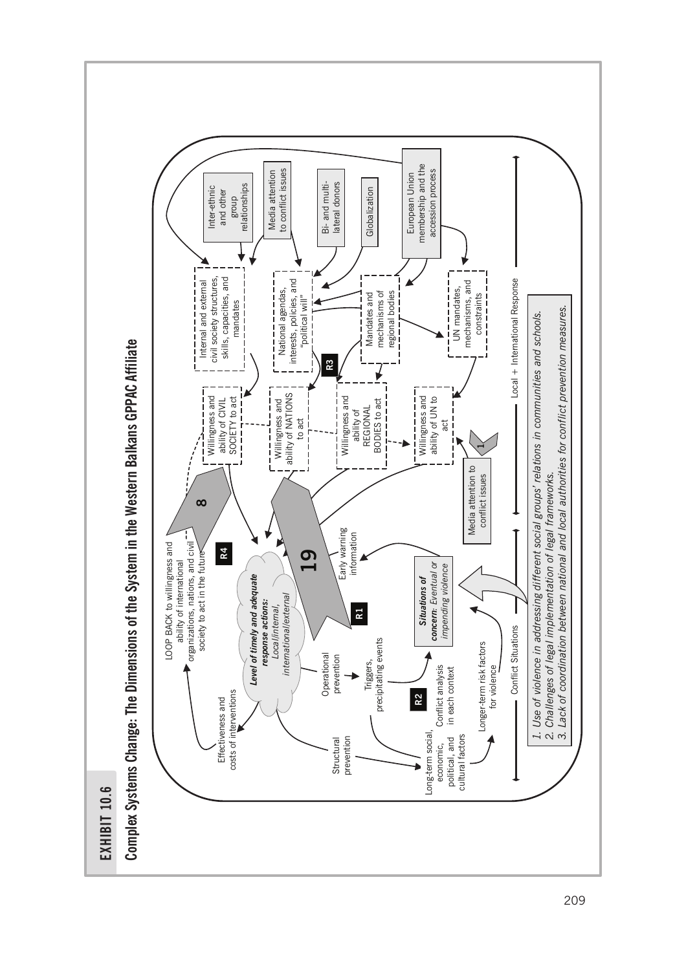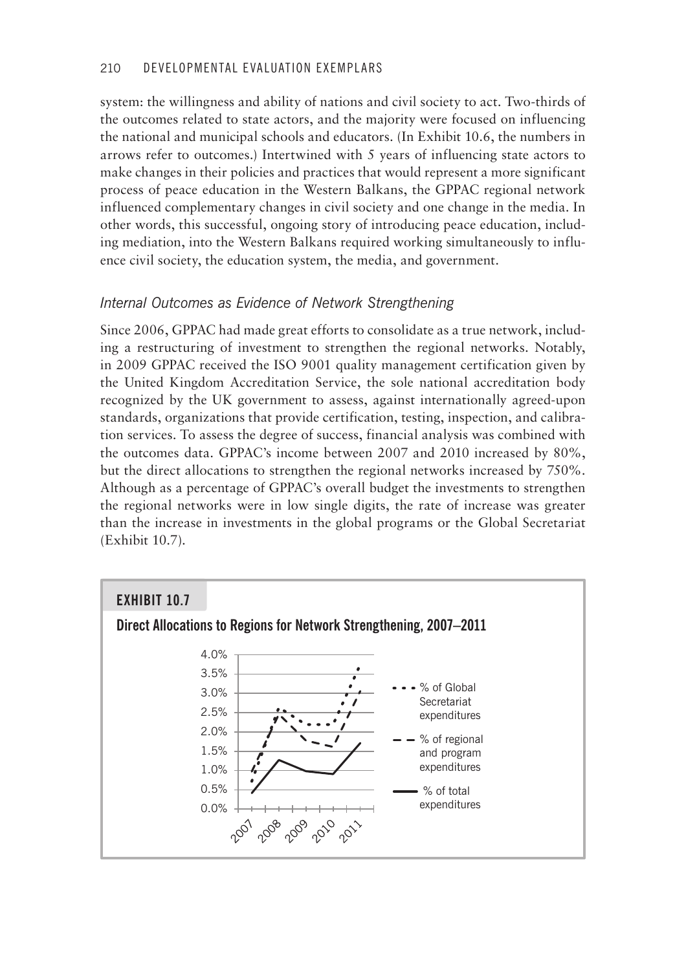#### 210 DEVELOPMENTAL EVALUATION EXEMPLARS

system: the willingness and ability of nations and civil society to act. Two-thirds of the outcomes related to state actors, and the majority were focused on influencing the national and municipal schools and educators. (In Exhibit 10.6, the numbers in arrows refer to outcomes.) Intertwined with 5 years of influencing state actors to make changes in their policies and practices that would represent a more significant process of peace education in the Western Balkans, the GPPAC regional network influenced complementary changes in civil society and one change in the media. In other words, this successful, ongoing story of introducing peace education, including mediation, into the Western Balkans required working simultaneously to influence civil society, the education system, the media, and government.

#### *Internal Outcomes as Evidence of Network Strengthening*

Since 2006, GPPAC had made great efforts to consolidate as a true network, including a restructuring of investment to strengthen the regional networks. Notably, in 2009 GPPAC received the ISO 9001 quality management certification given by the United Kingdom Accreditation Service, the sole national accreditation body recognized by the UK government to assess, against internationally agreed-upon standards, organizations that provide certification, testing, inspection, and calibration services. To assess the degree of success, financial analysis was combined with the outcomes data. GPPAC's income between 2007 and 2010 increased by 80%, but the direct allocations to strengthen the regional networks increased by 750%. Although as a percentage of GPPAC's overall budget the investments to strengthen the regional networks were in low single digits, the rate of increase was greater than the increase in investments in the global programs or the Global Secretariat (Exhibit 10.7).

#### **EXHIBIT 10.7**

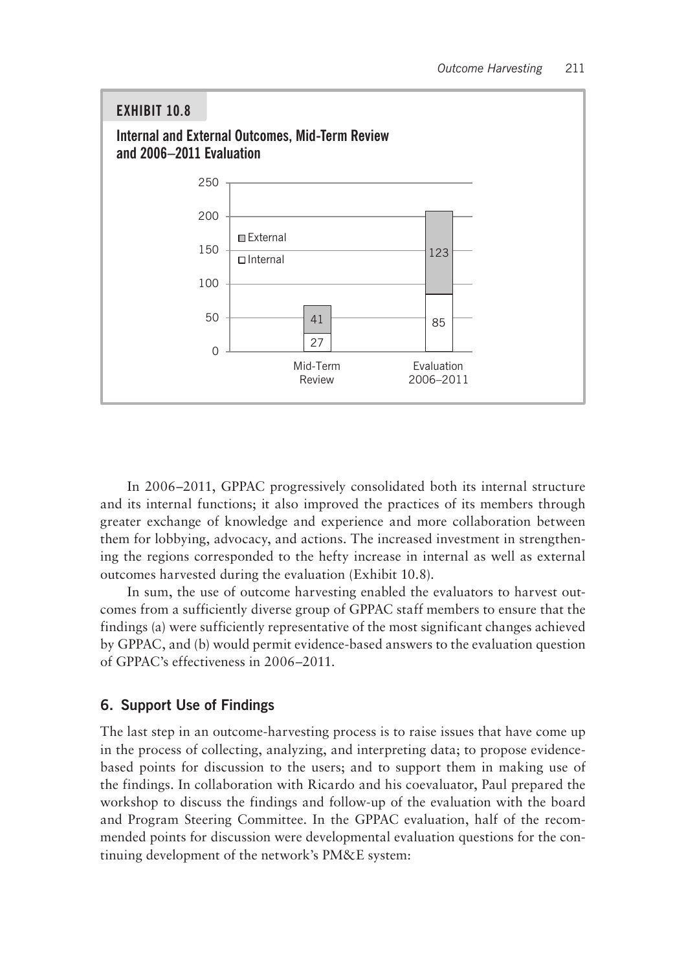

In 2006–2011, GPPAC progressively consolidated both its internal structure and its internal functions; it also improved the practices of its members through greater exchange of knowledge and experience and more collaboration between them for lobbying, advocacy, and actions. The increased investment in strengthening the regions corresponded to the hefty increase in internal as well as external outcomes harvested during the evaluation (Exhibit 10.8).

In sum, the use of outcome harvesting enabled the evaluators to harvest outcomes from a sufficiently diverse group of GPPAC staff members to ensure that the findings (a) were sufficiently representative of the most significant changes achieved by GPPAC, and (b) would permit evidence- based answers to the evaluation question of GPPAC's effectiveness in 2006–2011.

#### **6. Support Use of Findings**

The last step in an outcome-harvesting process is to raise issues that have come up in the process of collecting, analyzing, and interpreting data; to propose evidencebased points for discussion to the users; and to support them in making use of the findings. In collaboration with Ricardo and his coevaluator, Paul prepared the workshop to discuss the findings and follow-up of the evaluation with the board and Program Steering Committee. In the GPPAC evaluation, half of the recommended points for discussion were developmental evaluation questions for the continuing development of the network's PM&E system: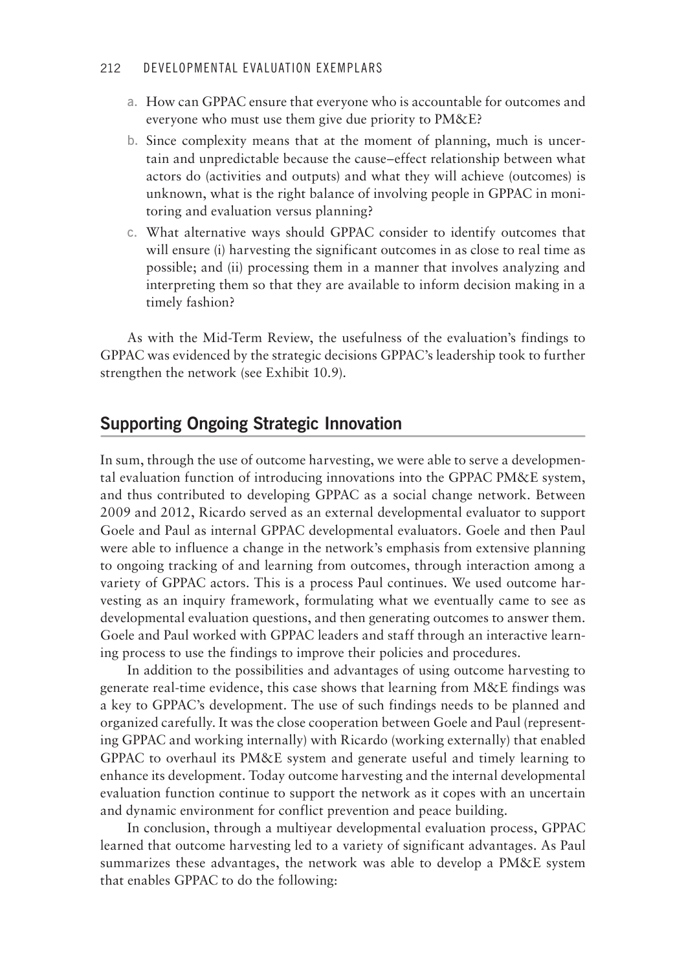- a. How can GPPAC ensure that everyone who is accountable for outcomes and everyone who must use them give due priority to PM&E?
- b. Since complexity means that at the moment of planning, much is uncertain and unpredictable because the cause– effect relationship between what actors do (activities and outputs) and what they will achieve (outcomes) is unknown, what is the right balance of involving people in GPPAC in monitoring and evaluation versus planning?
- c. What alternative ways should GPPAC consider to identify outcomes that will ensure (i) harvesting the significant outcomes in as close to real time as possible; and (ii) processing them in a manner that involves analyzing and interpreting them so that they are available to inform decision making in a timely fashion?

As with the Mid-Term Review, the usefulness of the evaluation's findings to GPPAC was evidenced by the strategic decisions GPPAC's leadership took to further strengthen the network (see Exhibit 10.9).

### **Supporting Ongoing Strategic Innovation**

In sum, through the use of outcome harvesting, we were able to serve a developmental evaluation function of introducing innovations into the GPPAC PM&E system, and thus contributed to developing GPPAC as a social change network. Between 2009 and 2012, Ricardo served as an external developmental evaluator to support Goele and Paul as internal GPPAC developmental evaluators. Goele and then Paul were able to influence a change in the network's emphasis from extensive planning to ongoing tracking of and learning from outcomes, through interaction among a variety of GPPAC actors. This is a process Paul continues. We used outcome harvesting as an inquiry framework, formulating what we eventually came to see as developmental evaluation questions, and then generating outcomes to answer them. Goele and Paul worked with GPPAC leaders and staff through an interactive learning process to use the findings to improve their policies and procedures.

In addition to the possibilities and advantages of using outcome harvesting to generate real-time evidence, this case shows that learning from M&E findings was a key to GPPAC's development. The use of such findings needs to be planned and organized carefully. It was the close cooperation between Goele and Paul (representing GPPAC and working internally) with Ricardo (working externally) that enabled GPPAC to overhaul its PM&E system and generate useful and timely learning to enhance its development. Today outcome harvesting and the internal developmental evaluation function continue to support the network as it copes with an uncertain and dynamic environment for conflict prevention and peace building.

In conclusion, through a multiyear developmental evaluation process, GPPAC learned that outcome harvesting led to a variety of significant advantages. As Paul summarizes these advantages, the network was able to develop a PM&E system that enables GPPAC to do the following: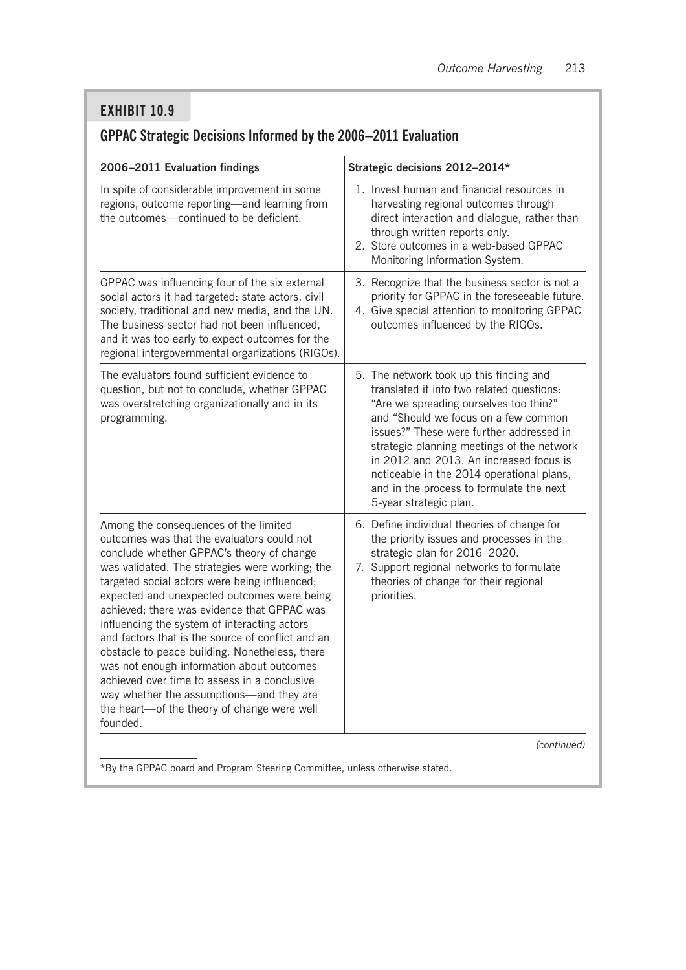# **GPPAC Strategic Decisions Informed by the 2006–2011 Evaluation**

| 2006-2011 Evaluation findings                                                                                                                                                                                                                                                                                                                                                                                                                                                                                                                                                                                                                                                                 | Strategic decisions 2012-2014*                                                                                                                                                                                                                                                                                                                                                                                                 |  |
|-----------------------------------------------------------------------------------------------------------------------------------------------------------------------------------------------------------------------------------------------------------------------------------------------------------------------------------------------------------------------------------------------------------------------------------------------------------------------------------------------------------------------------------------------------------------------------------------------------------------------------------------------------------------------------------------------|--------------------------------------------------------------------------------------------------------------------------------------------------------------------------------------------------------------------------------------------------------------------------------------------------------------------------------------------------------------------------------------------------------------------------------|--|
| In spite of considerable improvement in some<br>regions, outcome reporting-and learning from<br>the outcomes-continued to be deficient.                                                                                                                                                                                                                                                                                                                                                                                                                                                                                                                                                       | 1. Invest human and financial resources in<br>harvesting regional outcomes through<br>direct interaction and dialogue, rather than<br>through written reports only.<br>2. Store outcomes in a web-based GPPAC<br>Monitoring Information System.                                                                                                                                                                                |  |
| GPPAC was influencing four of the six external<br>social actors it had targeted: state actors, civil<br>society, traditional and new media, and the UN.<br>The business sector had not been influenced,<br>and it was too early to expect outcomes for the<br>regional intergovernmental organizations (RIGOs).                                                                                                                                                                                                                                                                                                                                                                               | 3. Recognize that the business sector is not a<br>priority for GPPAC in the foreseeable future.<br>4. Give special attention to monitoring GPPAC<br>outcomes influenced by the RIGOs.                                                                                                                                                                                                                                          |  |
| The evaluators found sufficient evidence to<br>question, but not to conclude, whether GPPAC<br>was overstretching organizationally and in its<br>programming.                                                                                                                                                                                                                                                                                                                                                                                                                                                                                                                                 | 5. The network took up this finding and<br>translated it into two related questions:<br>"Are we spreading ourselves too thin?"<br>and "Should we focus on a few common<br>issues?" These were further addressed in<br>strategic planning meetings of the network<br>in 2012 and 2013. An increased focus is<br>noticeable in the 2014 operational plans,<br>and in the process to formulate the next<br>5-year strategic plan. |  |
| Among the consequences of the limited<br>outcomes was that the evaluators could not<br>conclude whether GPPAC's theory of change<br>was validated. The strategies were working; the<br>targeted social actors were being influenced;<br>expected and unexpected outcomes were being<br>achieved; there was evidence that GPPAC was<br>influencing the system of interacting actors<br>and factors that is the source of conflict and an<br>obstacle to peace building. Nonetheless, there<br>was not enough information about outcomes<br>achieved over time to assess in a conclusive<br>way whether the assumptions-and they are<br>the heart-of the theory of change were well<br>founded. | 6. Define individual theories of change for<br>the priority issues and processes in the<br>strategic plan for 2016-2020.<br>7. Support regional networks to formulate<br>theories of change for their regional<br>priorities.                                                                                                                                                                                                  |  |

*(continued)*

\*By the GPPAC board and Program Steering Committee, unless otherwise stated.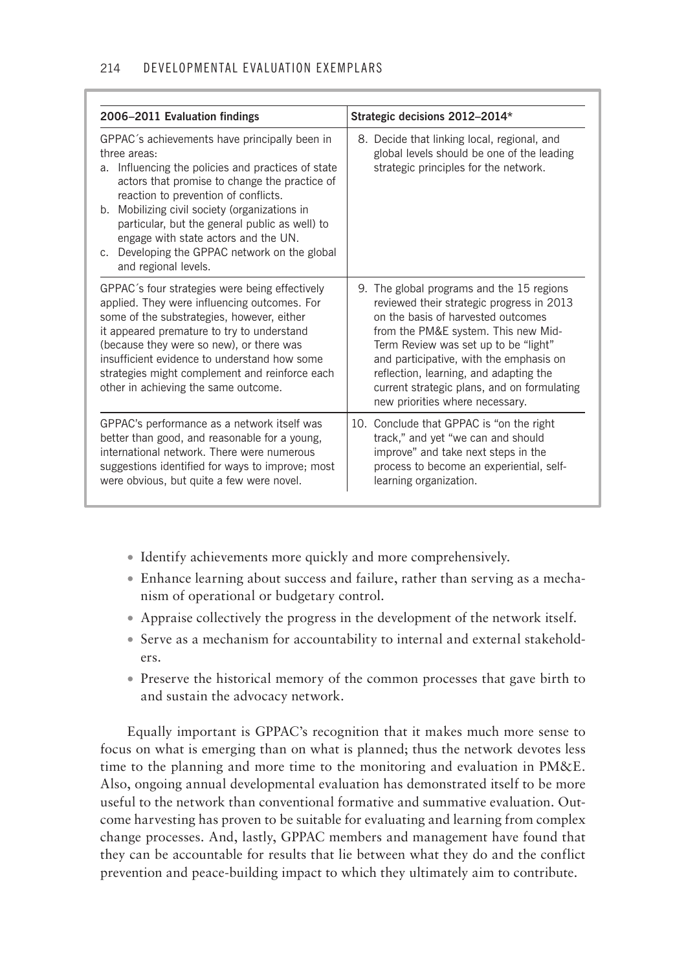| 2006-2011 Evaluation findings                                                                                                                                                                                                                                                                                                                                                                                                    | Strategic decisions 2012-2014*                                                                                                                                                                                                                                                                                                                                                     |  |
|----------------------------------------------------------------------------------------------------------------------------------------------------------------------------------------------------------------------------------------------------------------------------------------------------------------------------------------------------------------------------------------------------------------------------------|------------------------------------------------------------------------------------------------------------------------------------------------------------------------------------------------------------------------------------------------------------------------------------------------------------------------------------------------------------------------------------|--|
| GPPAC's achievements have principally been in<br>three areas:<br>a. Influencing the policies and practices of state<br>actors that promise to change the practice of<br>reaction to prevention of conflicts.<br>b. Mobilizing civil society (organizations in<br>particular, but the general public as well) to<br>engage with state actors and the UN.<br>c. Developing the GPPAC network on the global<br>and regional levels. | 8. Decide that linking local, regional, and<br>global levels should be one of the leading<br>strategic principles for the network.                                                                                                                                                                                                                                                 |  |
| GPPAC's four strategies were being effectively<br>applied. They were influencing outcomes. For<br>some of the substrategies, however, either<br>it appeared premature to try to understand<br>(because they were so new), or there was<br>insufficient evidence to understand how some<br>strategies might complement and reinforce each<br>other in achieving the same outcome.                                                 | 9. The global programs and the 15 regions<br>reviewed their strategic progress in 2013<br>on the basis of harvested outcomes<br>from the PM&E system. This new Mid-<br>Term Review was set up to be "light"<br>and participative, with the emphasis on<br>reflection, learning, and adapting the<br>current strategic plans, and on formulating<br>new priorities where necessary. |  |
| GPPAC's performance as a network itself was<br>better than good, and reasonable for a young,<br>international network. There were numerous<br>suggestions identified for ways to improve; most<br>were obvious, but quite a few were novel.                                                                                                                                                                                      | 10. Conclude that GPPAC is "on the right<br>track," and yet "we can and should<br>improve" and take next steps in the<br>process to become an experiential, self-<br>learning organization.                                                                                                                                                                                        |  |

- Identify achievements more quickly and more comprehensively.
- Enhance learning about success and failure, rather than serving as a mechanism of operational or budgetary control.
- Appraise collectively the progress in the development of the network itself.
- Serve as a mechanism for accountability to internal and external stakeholders.
- Preserve the historical memory of the common processes that gave birth to and sustain the advocacy network.

Equally important is GPPAC's recognition that it makes much more sense to focus on what is emerging than on what is planned; thus the network devotes less time to the planning and more time to the monitoring and evaluation in PM&E. Also, ongoing annual developmental evaluation has demonstrated itself to be more useful to the network than conventional formative and summative evaluation. Outcome harvesting has proven to be suitable for evaluating and learning from complex change processes. And, lastly, GPPAC members and management have found that they can be accountable for results that lie between what they do and the conflict prevention and peace- building impact to which they ultimately aim to contribute.